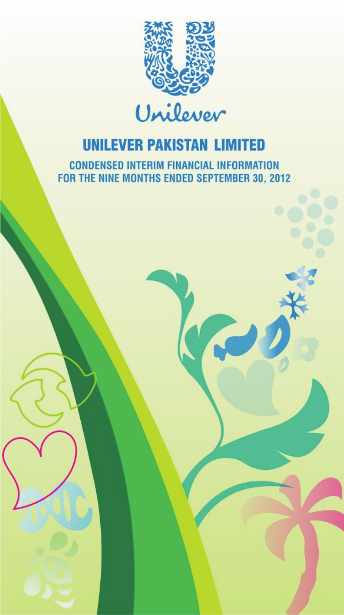

Unilever

**CONDENSED INTERIM FINANCIAL INFORMATION** FOR THE NINE MONTHS ENDED SEPTEMBER 30, 2012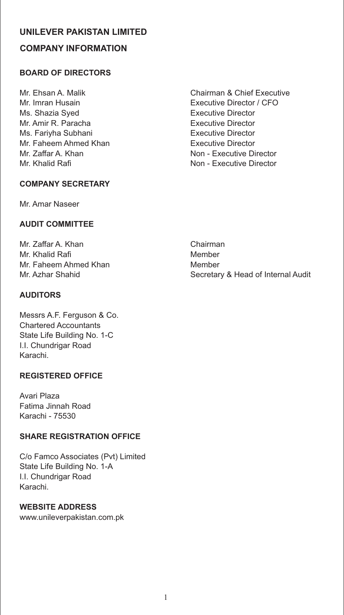# **UNILEVER PAKISTAN LIMITED COMPANY INFORMATION**

# **BOARD OF DIRECTORS**

Mr. Imran Husain Executive Director / CFO Ms. Shazia Syed **Executive Director** Mr. Amir R. Paracha **Executive Director** Ms. Fariyha Subhani **Executive Director** Mr. Faheem Ahmed Khan **Executive Director** Mr. Zaffar A. Khan Non - Executive Director Mr. Khalid Rafi Non - Executive Director

# **COMPANY SECRETARY**

Mr. Amar Naseer

# **AUDIT COMMITTEE**

Mr. Zaffar A. Khan Chairman Mr. Khalid Rafi Member Mr. Faheem Ahmed Khan Member

# **AUDITORS**

Messrs A.F. Ferguson & Co. Chartered Accountants State Life Building No. 1-C I.I. Chundrigar Road Karachi.

# **REGISTERED OFFICE**

Avari Plaza Fatima Jinnah Road Karachi - 75530

# **SHARE REGISTRATION OFFICE**

C/o Famco Associates (Pvt) Limited State Life Building No. 1-A I.I. Chundrigar Road Karachi.

#### **WEBSITE ADDRESS**

www.unileverpakistan.com.pk

Mr. Ehsan A. Malik Chairman & Chief Executive

Mr. Azhar Shahid Secretary & Head of Internal Audit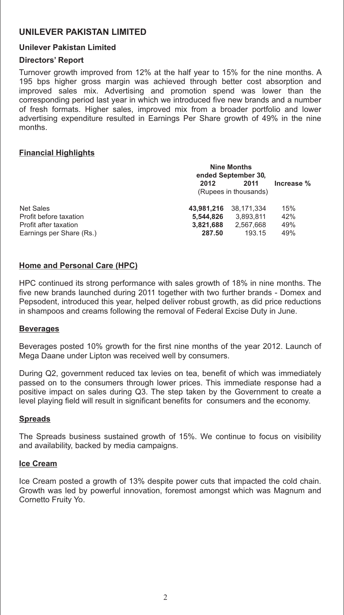#### **Unilever Pakistan Limited**

#### **Directors' Report**

Turnover growth improved from 12% at the half year to 15% for the nine months. A 195 bps higher gross margin was achieved through better cost absorption and improved sales mix. Advertising and promotion spend was lower than the corresponding period last year in which we introduced five new brands and a number of fresh formats. Higher sales, improved mix from a broader portfolio and lower advertising expenditure resulted in Earnings Per Share growth of 49% in the nine months.

#### **Financial Highlights**

|                          | <b>Nine Months</b><br>ended September 30. |            |            |  |
|--------------------------|-------------------------------------------|------------|------------|--|
|                          | 2012<br>2011                              |            | Increase % |  |
|                          | (Rupees in thousands)                     |            |            |  |
| <b>Net Sales</b>         | 43.981.216                                | 38.171.334 | 15%        |  |
| Profit before taxation   | 5.544.826                                 | 3,893,811  | 42%        |  |
| Profit after taxation    | 3,821,688                                 | 2,567,668  | 49%        |  |
| Earnings per Share (Rs.) | 287.50                                    | 193.15     | 49%        |  |

#### **Home and Personal Care (HPC)**

HPC continued its strong performance with sales growth of 18% in nine months. The five new brands launched during 2011 together with two further brands - Domex and Pepsodent, introduced this year, helped deliver robust growth, as did price reductions in shampoos and creams following the removal of Federal Excise Duty in June.

#### **Beverages**

Beverages posted 10% growth for the first nine months of the year 2012. Launch of Mega Daane under Lipton was received well by consumers.

During Q2, government reduced tax levies on tea, benefit of which was immediately passed on to the consumers through lower prices. This immediate response had a positive impact on sales during Q3. The step taken by the Government to create a level playing field will result in significant benefits for consumers and the economy.

#### **Spreads**

The Spreads business sustained growth of 15%. We continue to focus on visibility and availability, backed by media campaigns.

#### **Ice Cream**

Ice Cream posted a growth of 13% despite power cuts that impacted the cold chain. Growth was led by powerful innovation, foremost amongst which was Magnum and Cornetto Fruity Yo.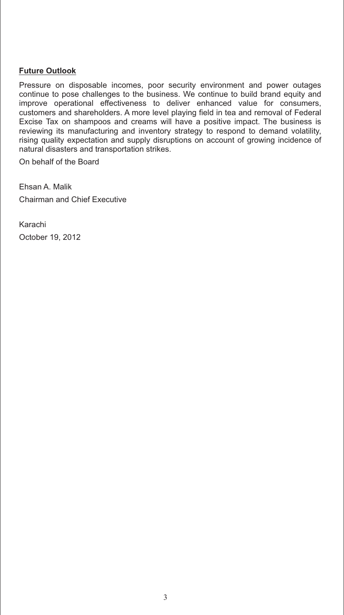### **Future Outlook**

Pressure on disposable incomes, poor security environment and power outages continue to pose challenges to the business. We continue to build brand equity and improve operational effectiveness to deliver enhanced value for consumers, customers and shareholders. A more level playing field in tea and removal of Federal Excise Tax on shampoos and creams will have a positive impact. The business is reviewing its manufacturing and inventory strategy to respond to demand volatility, rising quality expectation and supply disruptions on account of growing incidence of natural disasters and transportation strikes.

On behalf of the Board

Ehsan A. Malik Chairman and Chief Executive

Karachi October 19, 2012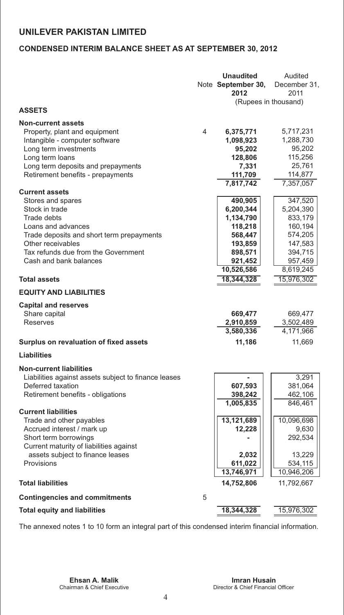# **CONDENSED INTERIM BALANCE SHEET AS AT SEPTEMBER 30, 2012**

|                                                                           |                | <b>Unaudited</b><br>Note September 30,<br>2012 | Audited<br>December 31,<br>2011 |
|---------------------------------------------------------------------------|----------------|------------------------------------------------|---------------------------------|
|                                                                           |                | (Rupees in thousand)                           |                                 |
| <b>ASSETS</b>                                                             |                |                                                |                                 |
| <b>Non-current assets</b>                                                 |                |                                                |                                 |
| Property, plant and equipment                                             | $\overline{4}$ | 6,375,771                                      | 5,717,231                       |
| Intangible - computer software                                            |                | 1,098,923                                      | 1,288,730                       |
| Long term investments                                                     |                | 95,202                                         | 95,202                          |
| Long term loans                                                           |                | 128,806                                        | 115,256                         |
| Long term deposits and prepayments                                        |                | 7,331                                          | 25,761                          |
| Retirement benefits - prepayments                                         |                | 111,709<br>7,817,742                           | 114,877<br>7,357,057            |
| <b>Current assets</b>                                                     |                |                                                |                                 |
| Stores and spares                                                         |                | 490,905                                        | 347,520                         |
| Stock in trade                                                            |                | 6,200,344                                      | 5,204,390                       |
| Trade debts                                                               |                | 1,134,790                                      | 833,179                         |
| Loans and advances                                                        |                | 118,218                                        | 160,194                         |
| Trade deposits and short term prepayments                                 |                | 568,447                                        | 574,205                         |
| Other receivables                                                         |                | 193,859                                        | 147,583                         |
| Tax refunds due from the Government                                       |                | 898,571                                        | 394,715                         |
| Cash and bank balances                                                    |                | 921,452                                        | 957,459                         |
|                                                                           |                | 10,526,586                                     | 8,619,245                       |
| <b>Total assets</b>                                                       |                | 18,344,328                                     | 15,976,302                      |
| <b>EQUITY AND LIABILITIES</b>                                             |                |                                                |                                 |
| <b>Capital and reserves</b>                                               |                |                                                |                                 |
| Share capital                                                             |                | 669,477                                        | 669,477                         |
| <b>Reserves</b>                                                           |                | 2,910,859                                      | 3,502,489                       |
|                                                                           |                | 3,580,336                                      | 4,171,966                       |
| Surplus on revaluation of fixed assets                                    |                | 11,186                                         | 11,669                          |
| <b>Liabilities</b>                                                        |                |                                                |                                 |
|                                                                           |                |                                                |                                 |
| <b>Non-current liabilities</b>                                            |                |                                                | 3,291                           |
| Liabilities against assets subject to finance leases<br>Deferred taxation |                | 607,593                                        | 381,064                         |
| Retirement benefits - obligations                                         |                | 398,242                                        | 462,106                         |
|                                                                           |                | 1,005,835                                      | 846,461                         |
| <b>Current liabilities</b>                                                |                |                                                |                                 |
| Trade and other payables                                                  |                | 13,121,689                                     | 10,096,698                      |
| Accrued interest / mark up                                                |                | 12,228                                         | 9,630                           |
| Short term borrowings                                                     |                |                                                | 292,534                         |
| Current maturity of liabilities against                                   |                |                                                |                                 |
| assets subject to finance leases                                          |                | 2,032                                          | 13,229                          |
| Provisions                                                                |                | 611,022<br>13,746,971                          | 534,115<br>10,946,206           |
| <b>Total liabilities</b>                                                  |                | 14,752,806                                     | 11,792,667                      |
|                                                                           |                |                                                |                                 |
| <b>Contingencies and commitments</b>                                      | 5              |                                                |                                 |
| <b>Total equity and liabilities</b>                                       |                | 18,344,328                                     | 15,976,302                      |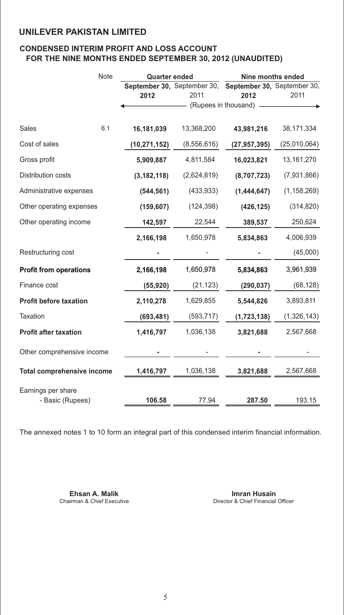# **CONDENSED INTERIM PROFIT AND LOSS ACCOUNT FOR THE NINE MONTHS ENDED SEPTEMBER 30, 2012 (UNAUDITED)**

|                                   | Note | <b>Quarter ended</b> |             | Nine months ended                                       |               |  |
|-----------------------------------|------|----------------------|-------------|---------------------------------------------------------|---------------|--|
|                                   |      |                      |             | September 30, September 30, September 30, September 30, |               |  |
|                                   |      | 2012                 | 2011        | 2012                                                    | 2011          |  |
|                                   |      |                      |             | (Rupees in thousand)                                    |               |  |
| Sales                             | 6.1  | 16,181,039           | 13,368,200  | 43,981,216                                              | 38,171,334    |  |
| Cost of sales                     |      | (10, 271, 152)       | (8,556,616) | (27, 957, 395)                                          | (25,010,064)  |  |
| Gross profit                      |      | 5,909,887            | 4,811,584   | 16,023,821                                              | 13, 161, 270  |  |
| Distribution costs                |      | (3, 182, 118)        | (2,624,819) | (8,707,723)                                             | (7,931,866)   |  |
| Administrative expenses           |      | (544, 561)           | (433, 933)  | (1,444,647)                                             | (1, 158, 269) |  |
| Other operating expenses          |      | (159, 607)           | (124, 398)  | (426, 125)                                              | (314, 820)    |  |
| Other operating income            |      | 142,597              | 22,544      | 389,537                                                 | 250,624       |  |
|                                   |      | 2,166,198            | 1,650,978   | 5,834,863                                               | 4,006,939     |  |
| Restructuring cost                |      |                      |             |                                                         | (45,000)      |  |
| <b>Profit from operations</b>     |      | 2,166,198            | 1,650,978   | 5,834,863                                               | 3,961,939     |  |
| Finance cost                      |      | (55, 920)            | (21, 123)   | (290, 037)                                              | (68, 128)     |  |
| <b>Profit before taxation</b>     |      | 2,110,278            | 1,629,855   | 5,544,826                                               | 3,893,811     |  |
| Taxation                          |      | (693, 481)           | (593, 717)  | (1,723,138)                                             | (1,326,143)   |  |
| <b>Profit after taxation</b>      |      | 1,416,797            | 1,036,138   | 3,821,688                                               | 2,567,668     |  |
| Other comprehensive income        |      |                      |             |                                                         |               |  |
| <b>Total comprehensive income</b> |      | 1,416,797            | 1,036,138   | 3,821,688                                               | 2,567,668     |  |
| Earnings per share                |      |                      |             |                                                         |               |  |
| - Basic (Rupees)                  |      | 106.58               | 77.94       | 287.50                                                  | 193.15        |  |

The annexed notes 1 to 10 form an integral part of this condensed interim financial information.

**Ehsan A. Malik Imran Husain**<br>
Chairman & Chief Executive **Imran Husain**<br>
Director & Chief Financial

Director & Chief Financial Officer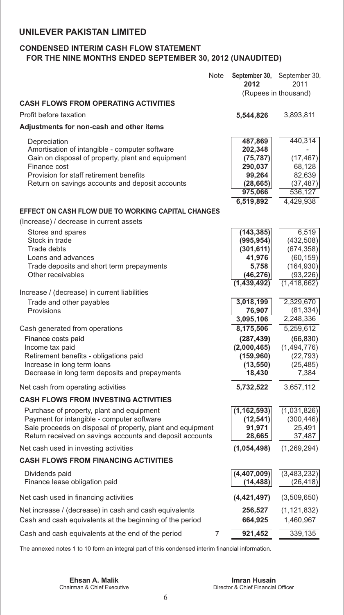# **CONDENSED INTERIM CASH FLOW STATEMENT FOR THE NINE MONTHS ENDED SEPTEMBER 30, 2012 (UNAUDITED)**

|                                                                                                          | <b>Note</b> | 2012                     | September 30, September 30,<br>2011<br>(Rupees in thousand) |
|----------------------------------------------------------------------------------------------------------|-------------|--------------------------|-------------------------------------------------------------|
| <b>CASH FLOWS FROM OPERATING ACTIVITIES</b>                                                              |             |                          |                                                             |
| Profit before taxation                                                                                   |             | 5,544,826                | 3,893,811                                                   |
| Adjustments for non-cash and other items                                                                 |             |                          |                                                             |
| Depreciation<br>Amortisation of intangible - computer software                                           |             | 487,869<br>202,348       | 440,314                                                     |
| Gain on disposal of property, plant and equipment<br>Finance cost                                        |             | (75, 787)<br>290,037     | (17, 467)<br>68,128                                         |
| Provision for staff retirement benefits                                                                  |             | 99,264                   | 82,639                                                      |
| Return on savings accounts and deposit accounts                                                          |             | (28, 665)                | (37, 487)                                                   |
|                                                                                                          |             | 975,066                  | 536,127                                                     |
|                                                                                                          |             | 6,519,892                | 4,429,938                                                   |
| EFFECT ON CASH FLOW DUE TO WORKING CAPITAL CHANGES                                                       |             |                          |                                                             |
| (Increase) / decrease in current assets                                                                  |             |                          |                                                             |
| Stores and spares                                                                                        |             | (143, 385)               | 6,519                                                       |
| Stock in trade<br>Trade debts                                                                            |             | (995, 954)<br>(301, 611) | (432, 508)<br>(674, 358)                                    |
| Loans and advances                                                                                       |             | 41,976                   | (60, 159)                                                   |
| Trade deposits and short term prepayments                                                                |             | 5,758                    | (164, 930)                                                  |
| Other receivables                                                                                        |             | (46, 276)                | (93, 226)                                                   |
|                                                                                                          |             | (1,439,492)              | (1, 418, 662)                                               |
| Increase / (decrease) in current liabilities                                                             |             |                          |                                                             |
| Trade and other payables<br>Provisions                                                                   |             | 3,018,199<br>76,907      | 2,329,670<br>(81, 334)                                      |
|                                                                                                          |             | 3,095,106                | 2,248,336                                                   |
| Cash generated from operations                                                                           |             | 8,175,506                | 5,259,612                                                   |
| Finance costs paid                                                                                       |             | (287, 439)               | (66, 830)                                                   |
| Income tax paid                                                                                          |             | (2,000,465)              | (1,494,776)                                                 |
| Retirement benefits - obligations paid                                                                   |             | (159, 960)               | (22, 793)                                                   |
| Increase in long term loans                                                                              |             | (13, 550)                | (25, 485)                                                   |
| Decrease in long term deposits and prepayments                                                           |             | 18,430                   | 7,384                                                       |
| Net cash from operating activities                                                                       |             | 5,732,522                | 3,657,112                                                   |
| <b>CASH FLOWS FROM INVESTING ACTIVITIES</b>                                                              |             |                          |                                                             |
| Purchase of property, plant and equipment                                                                |             | (1, 162, 593)            | (1,031,826)                                                 |
| Payment for intangible - computer software<br>Sale proceeds on disposal of property, plant and equipment |             | (12, 541)<br>91,971      | (300, 446)<br>25,491                                        |
| Return received on savings accounts and deposit accounts                                                 |             | 28,665                   | 37,487                                                      |
| Net cash used in investing activities                                                                    |             | (1,054,498)              | (1,269,294)                                                 |
| <b>CASH FLOWS FROM FINANCING ACTIVITIES</b>                                                              |             |                          |                                                             |
| Dividends paid                                                                                           |             | (4, 407, 009)            | (3,483,232)                                                 |
| Finance lease obligation paid                                                                            |             | (14, 488)                | (26, 418)                                                   |
| Net cash used in financing activities                                                                    |             | (4, 421, 497)            | (3,509,650)                                                 |
| Net increase / (decrease) in cash and cash equivalents                                                   |             | 256,527                  | (1, 121, 832)                                               |
| Cash and cash equivalents at the beginning of the period                                                 |             | 664,925                  | 1,460,967                                                   |
| Cash and cash equivalents at the end of the period                                                       | 7           | 921,452                  | 339,135                                                     |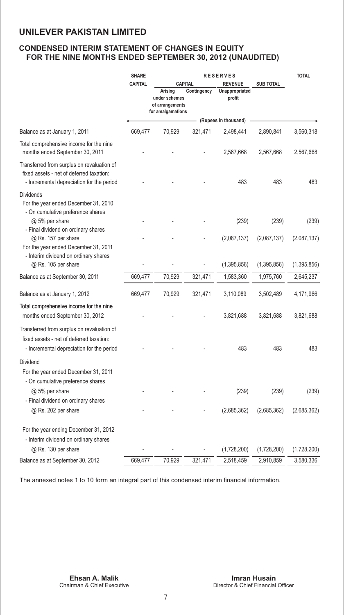# **CONDENSED INTERIM STATEMENT OF CHANGES IN EQUITY FOR THE NINE MONTHS ENDED SEPTEMBER 30, 2012 (UNAUDITED)**

|                                                                                                                                     | <b>SHARE</b><br><b>RESERVES</b> |                                                                                    |             |                                            | <b>TOTAL</b>     |             |
|-------------------------------------------------------------------------------------------------------------------------------------|---------------------------------|------------------------------------------------------------------------------------|-------------|--------------------------------------------|------------------|-------------|
|                                                                                                                                     | <b>CAPITAL</b>                  | <b>CAPITAL</b><br>Arising<br>under schemes<br>of arrangements<br>for amalgamations | Contingency | <b>REVENUE</b><br>Unappropriated<br>profit | <b>SUB TOTAL</b> |             |
|                                                                                                                                     |                                 |                                                                                    |             | (Rupees in thousand)                       |                  |             |
| Balance as at January 1, 2011                                                                                                       | 669,477                         | 70,929                                                                             | 321,471     | 2,498,441                                  | 2,890,841        | 3,560,318   |
| Total comprehensive income for the nine<br>months ended September 30, 2011                                                          |                                 |                                                                                    |             | 2,567,668                                  | 2,567,668        | 2,567,668   |
| Transferred from surplus on revaluation of<br>fixed assets - net of deferred taxation:<br>- Incremental depreciation for the period |                                 |                                                                                    |             | 483                                        | 483              | 483         |
| <b>Dividends</b><br>For the year ended December 31, 2010<br>- On cumulative preference shares                                       |                                 |                                                                                    |             |                                            |                  |             |
| @ 5% per share                                                                                                                      |                                 |                                                                                    |             | (239)                                      | (239)            | (239)       |
| - Final dividend on ordinary shares<br>@ Rs. 157 per share<br>For the year ended December 31, 2011                                  |                                 |                                                                                    |             | (2,087,137)                                | (2,087,137)      | (2,087,137) |
| - Interim dividend on ordinary shares<br>@ Rs. 105 per share                                                                        |                                 |                                                                                    |             | (1,395,856)                                | (1,395,856)      | (1,395,856) |
| Balance as at September 30, 2011                                                                                                    | 669,477                         | 70,929                                                                             | 321,471     | 1,583,360                                  | 1,975,760        | 2,645,237   |
| Balance as at January 1, 2012                                                                                                       | 669,477                         | 70,929                                                                             | 321,471     | 3,110,089                                  | 3,502,489        | 4,171,966   |
| Total comprehensive income for the nine<br>months ended September 30, 2012                                                          |                                 |                                                                                    |             | 3,821,688                                  | 3,821,688        | 3,821,688   |
| Transferred from surplus on revaluation of<br>fixed assets - net of deferred taxation:<br>- Incremental depreciation for the period |                                 |                                                                                    |             | 483                                        | 483              | 483         |
| Dividend<br>For the year ended December 31, 2011<br>- On cumulative preference shares                                               |                                 |                                                                                    |             |                                            |                  |             |
| $@$ 5% per share<br>- Final dividend on ordinary shares                                                                             |                                 |                                                                                    |             | (239)                                      | (239)            | (239)       |
| @ Rs. 202 per share                                                                                                                 |                                 |                                                                                    |             | (2,685,362)                                | (2,685,362)      | (2,685,362) |
| For the year ending December 31, 2012<br>- Interim dividend on ordinary shares                                                      |                                 |                                                                                    |             |                                            |                  |             |
| @ Rs. 130 per share                                                                                                                 |                                 |                                                                                    |             | (1,728,200)                                | (1,728,200)      | (1,728,200) |
| Balance as at September 30, 2012                                                                                                    | 669,477                         | 70,929                                                                             | 321,471     | 2,518,459                                  | 2,910,859        | 3,580,336   |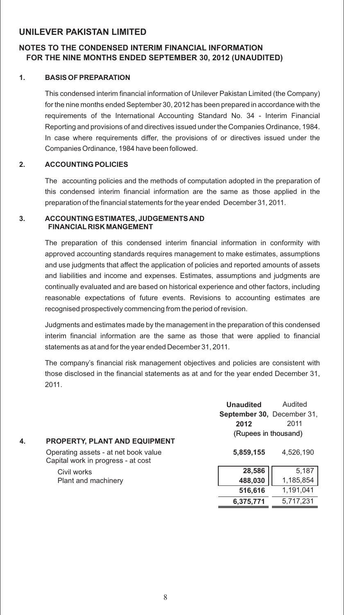# **NOTES TO THE CONDENSED INTERIM FINANCIAL INFORMATION FOR THE NINE MONTHS ENDED SEPTEMBER 30, 2012 (UNAUDITED)**

### **1. BASIS OF PREPARATION**

This condensed interim financial information of Unilever Pakistan Limited (the Company) for the nine months ended September 30, 2012 has been prepared in accordance with the requirements of the International Accounting Standard No. 34 - Interim Financial Reporting and provisions of and directives issued under the Companies Ordinance, 1984. In case where requirements differ, the provisions of or directives issued under the Companies Ordinance, 1984 have been followed.

#### **2. ACCOUNTING POLICIES**

The accounting policies and the methods of computation adopted in the preparation of this condensed interim financial information are the same as those applied in the preparation of the financial statements for the year ended December 31, 2011.

#### **3. ACCOUNTING ESTIMATES, JUDGEMENTS AND FINANCIAL RISK MANGEMENT**

The preparation of this condensed interim financial information in conformity with approved accounting standards requires management to make estimates, assumptions and use judgments that affect the application of policies and reported amounts of assets and liabilities and income and expenses. Estimates, assumptions and judgments are continually evaluated and are based on historical experience and other factors, including reasonable expectations of future events. Revisions to accounting estimates are recognised prospectively commencing from the period of revision.

Judgments and estimates made by the management in the preparation of this condensed interim financial information are the same as those that were applied to financial statements as at and for the year ended December 31, 2011.

The company's financial risk management objectives and policies are consistent with those disclosed in the financial statements as at and for the year ended December 31, 2011.

|                                                                            | <b>Unaudited</b>           | Audited   |
|----------------------------------------------------------------------------|----------------------------|-----------|
|                                                                            | September 30, December 31, |           |
|                                                                            | 2012                       | 2011      |
|                                                                            | (Rupees in thousand)       |           |
| 4.<br><b>PROPERTY, PLANT AND EQUIPMENT</b>                                 |                            |           |
| Operating assets - at net book value<br>Capital work in progress - at cost | 5,859,155                  | 4,526,190 |
| Civil works                                                                | 28,586                     | 5,187     |
| Plant and machinery                                                        | 488,030                    | 1,185,854 |
|                                                                            | 516,616                    | 1,191,041 |
|                                                                            | 6,375,771                  | 5,717,231 |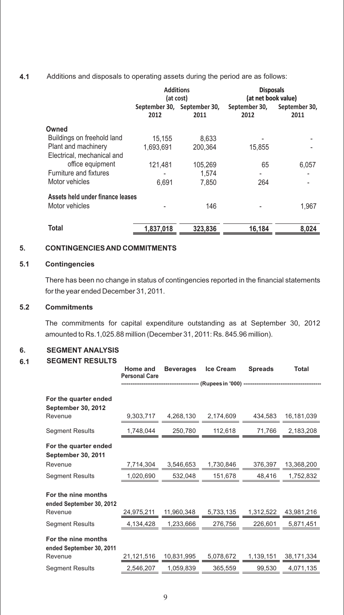#### **4.1** Additions and disposals to operating assets during the period are as follows:

|                                  |           | <b>Additions</b><br>(at cost)       | <b>Disposals</b><br>(at net book value) |                       |  |
|----------------------------------|-----------|-------------------------------------|-----------------------------------------|-----------------------|--|
|                                  | 2012      | September 30, September 30,<br>2011 | September 30,<br>2012                   | September 30,<br>2011 |  |
| Owned                            |           |                                     |                                         |                       |  |
| Buildings on freehold land       | 15,155    | 8.633                               |                                         |                       |  |
| Plant and machinery              | 1.693.691 | 200.364                             | 15,855                                  |                       |  |
| Electrical, mechanical and       |           |                                     |                                         |                       |  |
| office equipment                 | 121,481   | 105,269                             | 65                                      | 6,057                 |  |
| Furniture and fixtures           |           | 1.574                               |                                         |                       |  |
| Motor vehicles                   | 6.691     | 7.850                               | 264                                     |                       |  |
| Assets held under finance leases |           |                                     |                                         |                       |  |
| Motor vehicles                   |           | 146                                 |                                         | 1,967                 |  |
| Total                            | 1.837.018 | 323.836                             | 16,184                                  | 8.024                 |  |

#### **5. CONTINGENCIES AND COMMITMENTS**

#### **5.1 Contingencies**

There has been no change in status of contingencies reported in the financial statements for the year ended December 31, 2011.

#### **5.2 Commitments**

The commitments for capital expenditure outstanding as at September 30, 2012 amounted to Rs.1,025.88 million (December 31, 2011: Rs. 845.96 million).

#### **6. SEGMENT ANALYSIS**

#### **6.1 SEGMENT RESULTS**

|                                                    | Home and<br><b>Personal Care</b> | <b>Beverages</b> | Ice Cream                                     | <b>Spreads</b> | <b>Total</b> |
|----------------------------------------------------|----------------------------------|------------------|-----------------------------------------------|----------------|--------------|
|                                                    |                                  |                  | -- (Rupees in '000) ------------------------- |                |              |
| For the quarter ended<br><b>September 30, 2012</b> |                                  |                  |                                               |                |              |
| Revenue                                            | 9.303.717                        | 4,268,130        | 2,174,609                                     | 434.583        | 16,181,039   |
| <b>Segment Results</b>                             | 1,748,044                        | 250,780          | 112,618                                       | 71,766         | 2,183,208    |
| For the quarter ended<br><b>September 30, 2011</b> |                                  |                  |                                               |                |              |
| Revenue                                            | 7,714,304                        | 3,546,653        | 1,730,846                                     | 376,397        | 13,368,200   |
| <b>Segment Results</b>                             | 1,020,690                        | 532,048          | 151,678                                       | 48,416         | 1,752,832    |
| For the nine months<br>ended September 30, 2012    |                                  |                  |                                               |                |              |
| Revenue                                            | 24,975,211                       | 11,960,348       | 5,733,135                                     | 1,312,522      | 43,981,216   |
| <b>Segment Results</b>                             | 4,134,428                        | 1,233,666        | 276,756                                       | 226,601        | 5,871,451    |
| For the nine months<br>ended September 30, 2011    |                                  |                  |                                               |                |              |
| Revenue                                            | 21,121,516                       | 10,831,995       | 5,078,672                                     | 1,139,151      | 38,171,334   |
| <b>Segment Results</b>                             | 2,546,207                        | 1,059,839        | 365,559                                       | 99,530         | 4,071,135    |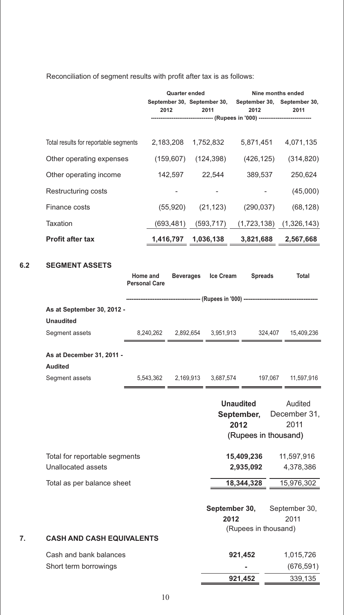|                                       | <b>Quarter ended</b>                                    |            | Nine months ended                                                                 |                             |  |
|---------------------------------------|---------------------------------------------------------|------------|-----------------------------------------------------------------------------------|-----------------------------|--|
|                                       | September 30, September 30, September 30, September 30, |            |                                                                                   |                             |  |
|                                       | 2012                                                    | 2011       | 2012                                                                              | 2011                        |  |
|                                       |                                                         |            | ---------------------------------- (Rupees in '000) ----------------------------- |                             |  |
| Total results for reportable segments | 2,183,208                                               | 1,752,832  | 5,871,451                                                                         | 4,071,135                   |  |
| Other operating expenses              | (159, 607)                                              | (124,398)  | (426, 125)                                                                        | (314, 820)                  |  |
| Other operating income                | 142.597                                                 | 22.544     | 389.537                                                                           | 250.624                     |  |
| Restructuring costs                   |                                                         |            |                                                                                   | (45,000)                    |  |
| Finance costs                         | (55, 920)                                               | (21, 123)  | (290, 037)                                                                        | (68, 128)                   |  |
| Taxation                              | (693, 481)                                              | (593, 717) |                                                                                   | $(1,723,138)$ $(1,326,143)$ |  |
| <b>Profit after tax</b>               | 1,416,797                                               | 1,036,138  | 3,821,688                                                                         | 2,567,668                   |  |

Reconciliation of segment results with profit after tax is as follows:

# **6.2 SEGMENT ASSETS**

|    |                                  | Home and             | <b>Beverages</b> | <b>Ice Cream</b>                                 | <b>Spreads</b>       | <b>Total</b>            |
|----|----------------------------------|----------------------|------------------|--------------------------------------------------|----------------------|-------------------------|
|    |                                  | <b>Personal Care</b> |                  |                                                  |                      |                         |
|    |                                  |                      |                  |                                                  |                      |                         |
|    | As at September 30, 2012 -       |                      |                  |                                                  |                      |                         |
|    | <b>Unaudited</b>                 |                      |                  |                                                  |                      |                         |
|    | Segment assets                   | 8,240,262            |                  | 2,892,654 3,951,913                              | 324,407              | 15,409,236              |
|    | As at December 31, 2011 -        |                      |                  |                                                  |                      |                         |
|    | <b>Audited</b>                   |                      |                  |                                                  |                      |                         |
|    | Segment assets                   |                      |                  | 5,543,362 2,169,913 3,687,574 197,067 11,597,916 |                      |                         |
|    |                                  |                      |                  |                                                  |                      |                         |
|    |                                  |                      |                  | <b>Unaudited</b><br>September,                   |                      | Audited<br>December 31, |
|    |                                  |                      |                  | 2012                                             |                      | 2011                    |
|    |                                  |                      |                  |                                                  | (Rupees in thousand) |                         |
|    |                                  |                      |                  |                                                  |                      |                         |
|    | Total for reportable segments    |                      |                  |                                                  | 15,409,236           | 11,597,916              |
|    | Unallocated assets               |                      |                  |                                                  | 2,935,092            | 4,378,386               |
|    | Total as per balance sheet       |                      |                  |                                                  | 18,344,328           | 15,976,302              |
|    |                                  |                      |                  |                                                  |                      |                         |
|    |                                  |                      |                  | September 30,                                    |                      | September 30,           |
|    |                                  |                      |                  | 2012                                             |                      | 2011                    |
|    |                                  |                      |                  |                                                  | (Rupees in thousand) |                         |
| 7. | <b>CASH AND CASH EQUIVALENTS</b> |                      |                  |                                                  |                      |                         |
|    | Cash and bank balances           |                      |                  | 921,452                                          |                      | 1,015,726               |
|    | Short term borrowings            |                      |                  |                                                  |                      | (676, 591)              |
|    |                                  |                      |                  | 921,452                                          |                      | 339,135                 |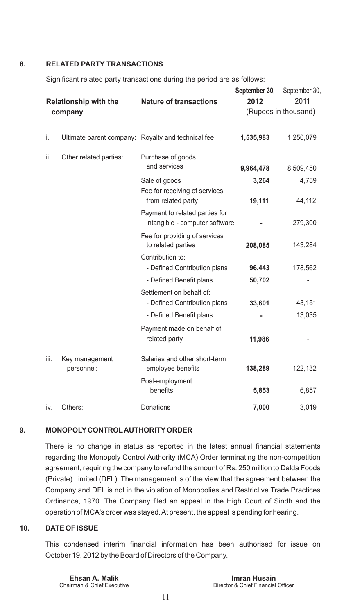#### **8. RELATED PARTY TRANSACTIONS**

Significant related party transactions during the period are as follows:

|      | <b>Relationship with the</b><br>company | <b>Nature of transactions</b>                                    | September 30,<br>2012 | September 30,<br>2011<br>(Rupees in thousand) |
|------|-----------------------------------------|------------------------------------------------------------------|-----------------------|-----------------------------------------------|
|      |                                         |                                                                  |                       |                                               |
| i.   |                                         | Ultimate parent company: Royalty and technical fee               | 1,535,983             | 1,250,079                                     |
| ii.  | Other related parties:                  | Purchase of goods<br>and services                                | 9,964,478             | 8,509,450                                     |
|      |                                         | Sale of goods<br>Fee for receiving of services                   | 3,264                 | 4,759                                         |
|      |                                         | from related party                                               | 19,111                | 44,112                                        |
|      |                                         | Payment to related parties for<br>intangible - computer software |                       | 279,300                                       |
|      |                                         | Fee for providing of services<br>to related parties              | 208,085               | 143,284                                       |
|      |                                         | Contribution to:                                                 |                       |                                               |
|      |                                         | - Defined Contribution plans                                     | 96,443                | 178,562                                       |
|      |                                         | - Defined Benefit plans                                          | 50,702                |                                               |
|      |                                         | Settlement on behalf of:<br>- Defined Contribution plans         | 33,601                | 43,151                                        |
|      |                                         |                                                                  |                       |                                               |
|      |                                         | - Defined Benefit plans                                          |                       | 13,035                                        |
|      |                                         | Payment made on behalf of<br>related party                       | 11,986                |                                               |
| iii. | Key management<br>personnel:            | Salaries and other short-term<br>employee benefits               | 138,289               | 122,132                                       |
|      |                                         | Post-employment<br>benefits                                      | 5,853                 | 6,857                                         |
| iv.  | Others:                                 | Donations                                                        | 7,000                 | 3,019                                         |

#### **9. MONOPOLY CONTROLAUTHORITYORDER**

There is no change in status as reported in the latest annual financial statements regarding the Monopoly Control Authority (MCA) Order terminating the non-competition agreement, requiring the company to refund the amount of Rs. 250 million to Dalda Foods (Private) Limited (DFL). The management is of the view that the agreement between the Company and DFL is not in the violation of Monopolies and Restrictive Trade Practices Ordinance, 1970. The Company filed an appeal in the High Court of Sindh and the operation of MCA's order was stayed. At present, the appeal is pending for hearing.

#### **10. DATE OF ISSUE**

This condensed interim financial information has been authorised for issue on October 19, 2012 by the Board of Directors of the Company.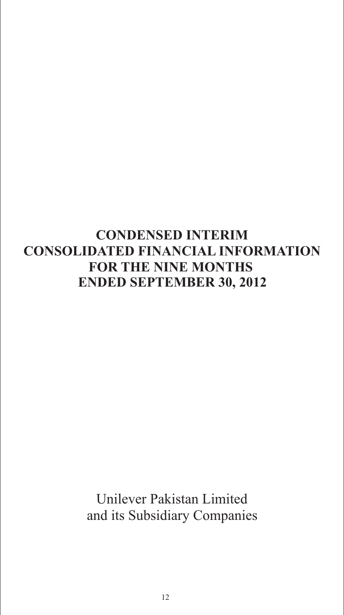# **CONDENSED INTERIM CONSOLIDATED FINANCIAL INFORMATION FOR THE NINE MONTHS ENDED SEPTEMBER 30, 2012**

Unilever Pakistan Limited and its Subsidiary Companies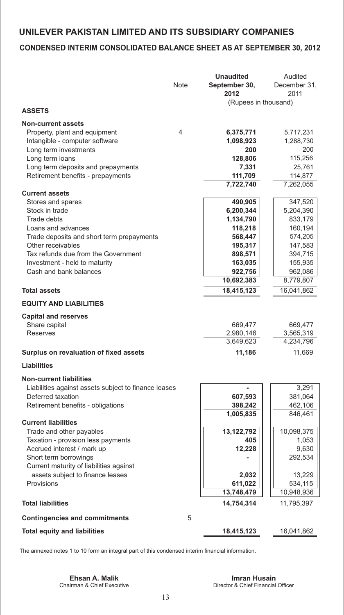# **CONDENSED INTERIM CONSOLIDATED BALANCE SHEET AS AT SEPTEMBER 30, 2012**

|                                                                  | Note | <b>Unaudited</b><br>September 30, | Audited<br>December 31, |
|------------------------------------------------------------------|------|-----------------------------------|-------------------------|
|                                                                  |      | 2012                              | 2011                    |
|                                                                  |      | (Rupees in thousand)              |                         |
| <b>ASSETS</b>                                                    |      |                                   |                         |
| <b>Non-current assets</b>                                        |      |                                   |                         |
| Property, plant and equipment                                    | 4    | 6,375,771                         | 5,717,231               |
| Intangible - computer software                                   |      | 1,098,923                         | 1,288,730               |
| Long term investments                                            |      | 200                               | 200                     |
| Long term loans                                                  |      | 128,806                           | 115,256                 |
| Long term deposits and prepayments                               |      | 7,331                             | 25,761                  |
| Retirement benefits - prepayments                                |      | 111,709                           | 114,877                 |
|                                                                  |      | 7,722,740                         | 7,262,055               |
| <b>Current assets</b><br>Stores and spares                       |      | 490,905                           | 347,520                 |
| Stock in trade                                                   |      | 6,200,344                         | 5,204,390               |
| Trade debts                                                      |      | 1,134,790                         | 833,179                 |
| Loans and advances                                               |      | 118,218                           | 160,194                 |
| Trade deposits and short term prepayments                        |      | 568,447                           | 574,205                 |
| Other receivables                                                |      | 195,317                           | 147,583                 |
| Tax refunds due from the Government                              |      | 898,571                           | 394,715                 |
| Investment - held to maturity                                    |      | 163,035                           | 155,935                 |
| Cash and bank balances                                           |      | 922,756                           | 962,086                 |
|                                                                  |      | 10,692,383                        | 8,779,807               |
| <b>Total assets</b>                                              |      | 18,415,123                        | 16,041,862              |
| <b>EQUITY AND LIABILITIES</b>                                    |      |                                   |                         |
|                                                                  |      |                                   |                         |
| <b>Capital and reserves</b><br>Share capital                     |      | 669,477                           | 669,477                 |
| Reserves                                                         |      | 2,980,146                         | 3,565,319               |
|                                                                  |      | 3,649,623                         | 4,234,796               |
| Surplus on revaluation of fixed assets                           |      | 11,186                            | 11,669                  |
| Liabilities                                                      |      |                                   |                         |
| <b>Non-current liabilities</b>                                   |      |                                   |                         |
| Liabilities against assets subject to finance leases             |      |                                   | 3,291                   |
| Deferred taxation                                                |      | 607,593                           | 381,064                 |
| Retirement benefits - obligations                                |      | 398,242                           | 462,106                 |
|                                                                  |      | 1,005,835                         | 846,461                 |
| <b>Current liabilities</b>                                       |      |                                   |                         |
| Trade and other payables                                         |      | 13,122,792                        | 10,098,375              |
| Taxation - provision less payments                               |      | 405                               | 1,053                   |
| Accrued interest / mark up                                       |      | 12,228                            | 9,630                   |
| Short term borrowings<br>Current maturity of liabilities against |      |                                   | 292,534                 |
| assets subject to finance leases                                 |      | 2,032                             | 13,229                  |
| Provisions                                                       |      | 611,022                           | 534,115                 |
|                                                                  |      | 13,748,479                        | 10,948,936              |
| <b>Total liabilities</b>                                         |      | 14,754,314                        | 11,795,397              |
| <b>Contingencies and commitments</b>                             | 5    |                                   |                         |
| <b>Total equity and liabilities</b>                              |      | 18,415,123                        | 16,041,862              |
|                                                                  |      |                                   |                         |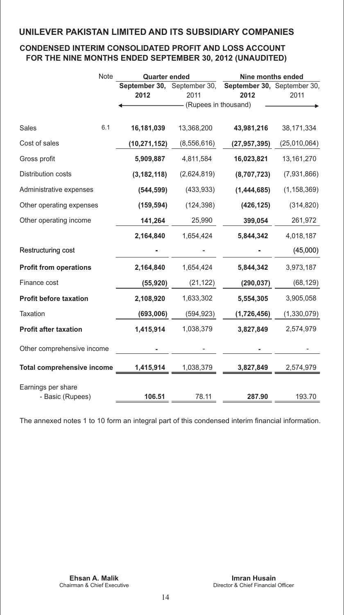# **CONDENSED INTERIM CONSOLIDATED PROFIT AND LOSS ACCOUNT FOR THE NINE MONTHS ENDED SEPTEMBER 30, 2012 (UNAUDITED)**

|                                   | Note | <b>Quarter ended</b> |                      | Nine months ended                                               |               |  |  |
|-----------------------------------|------|----------------------|----------------------|-----------------------------------------------------------------|---------------|--|--|
|                                   |      | 2012                 | 2011                 | September 30, September 30, September 30, September 30,<br>2012 | 2011          |  |  |
|                                   |      |                      | (Rupees in thousand) |                                                                 |               |  |  |
|                                   |      |                      |                      |                                                                 |               |  |  |
| Sales                             | 6.1  | 16,181,039           | 13,368,200           | 43,981,216                                                      | 38,171,334    |  |  |
| Cost of sales                     |      | (10, 271, 152)       | (8,556,616)          | (27, 957, 395)                                                  | (25,010,064)  |  |  |
| Gross profit                      |      | 5,909,887            | 4,811,584            | 16,023,821                                                      | 13, 161, 270  |  |  |
| Distribution costs                |      | (3, 182, 118)        | (2,624,819)          | (8,707,723)                                                     | (7,931,866)   |  |  |
| Administrative expenses           |      | (544, 599)           | (433, 933)           | (1,444,685)                                                     | (1, 158, 369) |  |  |
| Other operating expenses          |      | (159, 594)           | (124, 398)           | (426, 125)                                                      | (314, 820)    |  |  |
| Other operating income            |      | 141,264              | 25,990               | 399,054                                                         | 261,972       |  |  |
|                                   |      | 2,164,840            | 1,654,424            | 5,844,342                                                       | 4,018,187     |  |  |
| Restructuring cost                |      |                      |                      |                                                                 | (45,000)      |  |  |
| <b>Profit from operations</b>     |      | 2,164,840            | 1,654,424            | 5,844,342                                                       | 3,973,187     |  |  |
| Finance cost                      |      | (55, 920)            | (21, 122)            | (290, 037)                                                      | (68, 129)     |  |  |
| <b>Profit before taxation</b>     |      | 2,108,920            | 1,633,302            | 5,554,305                                                       | 3,905,058     |  |  |
| Taxation                          |      | (693,006)            | (594, 923)           | (1,726,456)                                                     | (1, 330, 079) |  |  |
| <b>Profit after taxation</b>      |      | 1,415,914            | 1,038,379            | 3,827,849                                                       | 2,574,979     |  |  |
| Other comprehensive income        |      |                      |                      |                                                                 |               |  |  |
| <b>Total comprehensive income</b> |      | 1,415,914            | 1,038,379            | 3,827,849                                                       | 2,574,979     |  |  |
| Earnings per share                |      |                      |                      |                                                                 |               |  |  |
| - Basic (Rupees)                  |      | 106.51               | 78.11                | 287.90                                                          | 193.70        |  |  |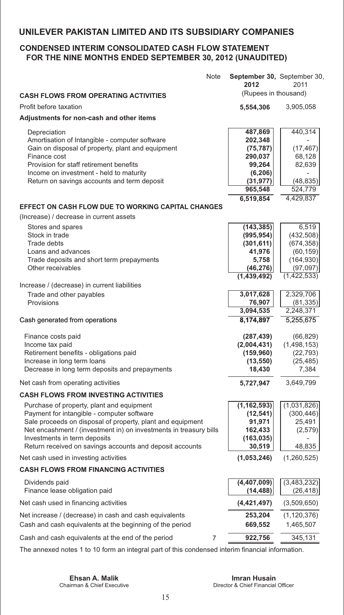# **CONDENSED INTERIM CONSOLIDATED CASH FLOW STATEMENT FOR THE NINE MONTHS ENDED SEPTEMBER 30, 2012 (UNAUDITED)**

|                                                                                                                                                                                                                                                                                                                        | Note | September 30, September 30,<br>2012                                                      | 2011                                                                                      |
|------------------------------------------------------------------------------------------------------------------------------------------------------------------------------------------------------------------------------------------------------------------------------------------------------------------------|------|------------------------------------------------------------------------------------------|-------------------------------------------------------------------------------------------|
| <b>CASH FLOWS FROM OPERATING ACTIVITIES</b>                                                                                                                                                                                                                                                                            |      | (Rupees in thousand)                                                                     |                                                                                           |
| Profit before taxation                                                                                                                                                                                                                                                                                                 |      | 5,554,306                                                                                | 3,905,058                                                                                 |
| Adjustments for non-cash and other items                                                                                                                                                                                                                                                                               |      |                                                                                          |                                                                                           |
| Depreciation<br>Amortisation of Intangible - computer software<br>Gain on disposal of property, plant and equipment<br>Finance cost<br>Provision for staff retirement benefits<br>Income on investment - held to maturity<br>Return on savings accounts and term deposit                                               |      | 487,869<br>202,348<br>(75, 787)<br>290,037<br>99,264<br>(6, 206)<br>(31, 977)<br>965,548 | 440,314<br>(17, 467)<br>68,128<br>82,639<br>(48, 835)<br>524,779                          |
| <b>EFFECT ON CASH FLOW DUE TO WORKING CAPITAL CHANGES</b>                                                                                                                                                                                                                                                              |      | 6,519,854                                                                                | 4,429,837                                                                                 |
| (Increase) / decrease in current assets                                                                                                                                                                                                                                                                                |      |                                                                                          |                                                                                           |
| Stores and spares<br>Stock in trade<br>Trade debts<br>Loans and advances<br>Trade deposits and short term prepayments<br>Other receivables                                                                                                                                                                             |      | (143, 385)<br>(995, 954)<br>(301, 611)<br>41,976<br>5,758<br>(46, 276)<br>(1,439,492)    | 6,519<br>(432, 508)<br>(674, 358)<br>(60, 159)<br>(164, 930)<br>(97,097)<br>(1, 422, 533) |
| Increase / (decrease) in current liabilities                                                                                                                                                                                                                                                                           |      |                                                                                          |                                                                                           |
| Trade and other payables<br>Provisions                                                                                                                                                                                                                                                                                 |      | 3,017,628<br>76,907<br>3,094,535                                                         | 2,329,706<br>(81, 335)<br>2,248,371                                                       |
| Cash generated from operations                                                                                                                                                                                                                                                                                         |      | 8,174,897                                                                                | 5,255,675                                                                                 |
| Finance costs paid<br>Income tax paid<br>Retirement benefits - obligations paid<br>Increase in long term loans<br>Decrease in long term deposits and prepayments                                                                                                                                                       |      | (287, 439)<br>(2,004,431)<br>(159, 960)<br>(13, 550)<br>18,430                           | (66, 829)<br>(1, 498, 153)<br>(22, 793)<br>(25, 485)<br>7,384                             |
| Net cash from operating activities                                                                                                                                                                                                                                                                                     |      | 5,727,947                                                                                | 3,649,799                                                                                 |
| <b>CASH FLOWS FROM INVESTING ACTIVITIES</b>                                                                                                                                                                                                                                                                            |      |                                                                                          |                                                                                           |
| Purchase of property, plant and equipment<br>Payment for intangible - computer software<br>Sale proceeds on disposal of property, plant and equipment<br>Net encashment / (investment in) on investments in treasury bills<br>Investments in term deposits<br>Return received on savings accounts and deposit accounts |      | (1, 162, 593)<br>(12, 541)<br>91,971<br>162,433<br>(163, 035)<br>30,519                  | (1,031,826)<br>(300, 446)<br>25,491<br>(2,579)<br>48,835                                  |
| Net cash used in investing activities                                                                                                                                                                                                                                                                                  |      | (1,053,246)                                                                              | (1,260,525)                                                                               |
| <b>CASH FLOWS FROM FINANCING ACTIVITIES</b>                                                                                                                                                                                                                                                                            |      |                                                                                          |                                                                                           |
| Dividends paid<br>Finance lease obligation paid                                                                                                                                                                                                                                                                        |      | (4,407,009)<br>(14, 488)                                                                 | (3,483,232)<br>(26, 418)                                                                  |
| Net cash used in financing activities                                                                                                                                                                                                                                                                                  |      | (4,421,497)                                                                              | (3,509,650)                                                                               |
| Net increase / (decrease) in cash and cash equivalents<br>Cash and cash equivalents at the beginning of the period                                                                                                                                                                                                     |      | 253,204<br>669,552                                                                       | (1, 120, 376)<br>1,465,507                                                                |
| Cash and cash equivalents at the end of the period                                                                                                                                                                                                                                                                     | 7    | 922,756                                                                                  | 345,131                                                                                   |
|                                                                                                                                                                                                                                                                                                                        |      |                                                                                          |                                                                                           |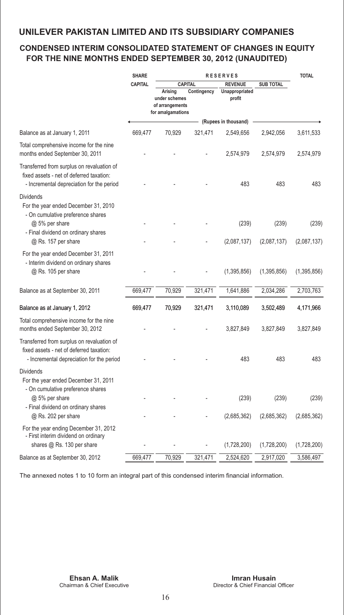# **CONDENSED INTERIM CONSOLIDATED STATEMENT OF CHANGES IN EQUITY FOR THE NINE MONTHS ENDED SEPTEMBER 30, 2012 (UNAUDITED)**

|                                                                                                                                     | <b>SHARE</b><br><b>RESERVES</b> |                                                                                    |             |                                            |                  | <b>TOTAL</b> |
|-------------------------------------------------------------------------------------------------------------------------------------|---------------------------------|------------------------------------------------------------------------------------|-------------|--------------------------------------------|------------------|--------------|
|                                                                                                                                     | <b>CAPITAL</b>                  | <b>CAPITAL</b><br>Arising<br>under schemes<br>of arrangements<br>for amalgamations | Contingency | <b>REVENUE</b><br>Unappropriated<br>profit | <b>SUB TOTAL</b> |              |
|                                                                                                                                     |                                 |                                                                                    |             | (Rupees in thousand)                       |                  |              |
| Balance as at January 1, 2011                                                                                                       | 669,477                         | 70,929                                                                             | 321,471     | 2,549,656                                  | 2,942,056        | 3,611,533    |
| Total comprehensive income for the nine<br>months ended September 30, 2011                                                          |                                 |                                                                                    |             | 2,574,979                                  | 2,574,979        | 2,574,979    |
| Transferred from surplus on revaluation of<br>fixed assets - net of deferred taxation:<br>- Incremental depreciation for the period |                                 |                                                                                    |             | 483                                        | 483              | 483          |
| <b>Dividends</b><br>For the year ended December 31, 2010<br>- On cumulative preference shares<br>@ 5% per share                     |                                 |                                                                                    |             | (239)                                      | (239)            | (239)        |
| - Final dividend on ordinary shares<br>@ Rs. 157 per share                                                                          |                                 |                                                                                    |             | (2,087,137)                                | (2,087,137)      | (2,087,137)  |
| For the year ended December 31, 2011<br>- Interim dividend on ordinary shares<br>@ Rs. 105 per share                                |                                 |                                                                                    |             | (1,395,856)                                | (1,395,856)      | (1,395,856)  |
| Balance as at September 30, 2011                                                                                                    | 669,477                         | 70,929                                                                             | 321,471     | 1,641,886                                  | 2,034,286        | 2,703,763    |
| Balance as at January 1, 2012                                                                                                       | 669,477                         | 70,929                                                                             | 321,471     | 3,110,089                                  | 3,502,489        | 4,171,966    |
| Total comprehensive income for the nine<br>months ended September 30, 2012                                                          |                                 |                                                                                    |             | 3,827,849                                  | 3,827,849        | 3,827,849    |
| Transferred from surplus on revaluation of<br>fixed assets - net of deferred taxation:<br>- Incremental depreciation for the period |                                 |                                                                                    |             | 483                                        | 483              | 483          |
| <b>Dividends</b><br>For the year ended December 31, 2011<br>- On cumulative preference shares                                       |                                 |                                                                                    |             |                                            |                  |              |
| @ 5% per share<br>- Final dividend on ordinary shares                                                                               |                                 |                                                                                    |             | (239)                                      | (239)            | (239)        |
| @ Rs. 202 per share                                                                                                                 |                                 |                                                                                    |             | (2,685,362)                                | (2,685,362)      | (2,685,362)  |
| For the year ending December 31, 2012<br>- First interim dividend on ordinary                                                       |                                 |                                                                                    |             |                                            |                  |              |
| shares @ Rs. 130 per share                                                                                                          |                                 |                                                                                    |             | (1,728,200)                                | (1,728,200)      | (1,728,200)  |
| Balance as at September 30, 2012                                                                                                    | 669,477                         | 70,929                                                                             | 321,471     | 2,524,620                                  | 2,917,020        | 3,586,497    |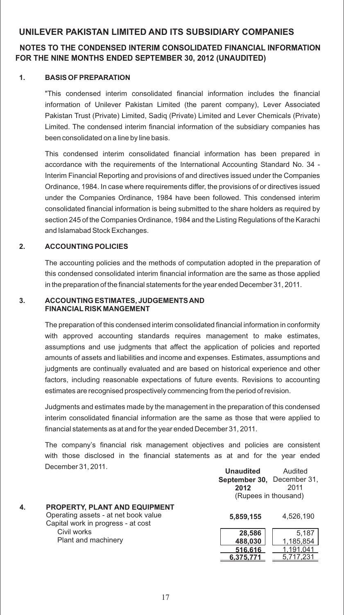# **NOTES TO THE CONDENSED INTERIM CONSOLIDATED FINANCIAL INFORMATION FOR THE NINE MONTHS ENDED SEPTEMBER 30, 2012 (UNAUDITED)**

#### **1. BASIS OF PREPARATION**

"This condensed interim consolidated financial information includes the financial information of Unilever Pakistan Limited (the parent company), Lever Associated Pakistan Trust (Private) Limited, Sadiq (Private) Limited and Lever Chemicals (Private) Limited. The condensed interim financial information of the subsidiary companies has been consolidated on a line by line basis.

This condensed interim consolidated financial information has been prepared in accordance with the requirements of the International Accounting Standard No. 34 - Interim Financial Reporting and provisions of and directives issued under the Companies Ordinance, 1984. In case where requirements differ, the provisions of or directives issued under the Companies Ordinance, 1984 have been followed. This condensed interim consolidated financial information is being submitted to the share holders as required by section 245 of the Companies Ordinance, 1984 and the Listing Regulations of the Karachi and Islamabad Stock Exchanges.

#### **2. ACCOUNTING POLICIES**

The accounting policies and the methods of computation adopted in the preparation of this condensed consolidated interim financial information are the same as those applied in the preparation of the financial statements for the year ended December 31, 2011.

#### **3. ACCOUNTING ESTIMATES, JUDGEMENTS AND FINANCIAL RISK MANGEMENT**

The preparation of this condensed interim consolidated financial information in conformity with approved accounting standards requires management to make estimates, assumptions and use judgments that affect the application of policies and reported amounts of assets and liabilities and income and expenses. Estimates, assumptions and judgments are continually evaluated and are based on historical experience and other factors, including reasonable expectations of future events. Revisions to accounting estimates are recognised prospectively commencing from the period of revision.

Judgments and estimates made by the management in the preparation of this condensed interim consolidated financial information are the same as those that were applied to financial statements as at and for the year ended December 31, 2011.

The company's financial risk management objectives and policies are consistent with those disclosed in the financial statements as at and for the year ended December 31, 2011.

|    | <u> 8888111881 81.2811.</u>          | <b>Unaudited</b>                  | Audited   |
|----|--------------------------------------|-----------------------------------|-----------|
|    |                                      | <b>September 30.</b> December 31. |           |
|    |                                      | 2012                              | 2011      |
|    |                                      | (Rupees in thousand)              |           |
| 4. | PROPERTY, PLANT AND EQUIPMENT        |                                   |           |
|    | Operating assets - at net book value | 5,859,155                         | 4,526,190 |
|    | Capital work in progress - at cost   |                                   |           |
|    | Civil works                          | 28,586                            | 5,187     |
|    | Plant and machinery                  | 488,030                           | 1,185,854 |
|    |                                      | 516,616                           | 1,191,041 |
|    |                                      | 6.375.771                         | 5.717.231 |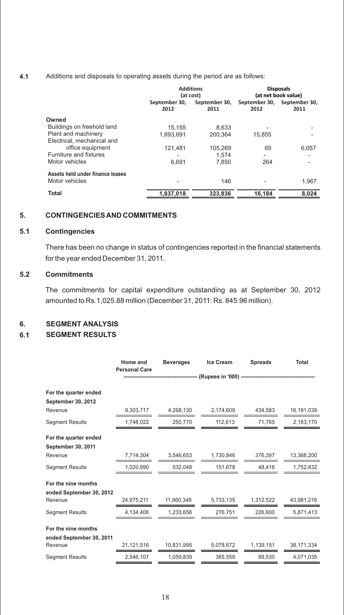#### **4.1** Additions and disposals to operating assets during the period are as follows:

|                                  |                       | <b>Additions</b><br>(at cost) | <b>Disposals</b><br>(at net book value) |                                     |  |
|----------------------------------|-----------------------|-------------------------------|-----------------------------------------|-------------------------------------|--|
|                                  | September 30.<br>2012 | September 30,<br>2011         | 2012                                    | September 30, September 30,<br>2011 |  |
| Owned                            |                       |                               |                                         |                                     |  |
| Buildings on freehold land       | 15.155                | 8.633                         |                                         |                                     |  |
| Plant and machinery              | 1,693,691             | 200,364                       | 15,855                                  |                                     |  |
| Electrical, mechanical and       |                       |                               |                                         |                                     |  |
| office equipment                 | 121.481               | 105.269                       | 65                                      | 6.057                               |  |
| Furniture and fixtures           | ۰                     | 1.574                         | ۰                                       |                                     |  |
| Motor vehicles                   | 6.691                 | 7.850                         | 264                                     |                                     |  |
| Assets held under finance leases |                       |                               |                                         |                                     |  |
| Motor vehicles                   | ۰                     | 146                           |                                         | 1.967                               |  |
| Total                            | 1.837.018             | 323.836                       | 16,184                                  | 8.024                               |  |

#### **5. CONTINGENCIES AND COMMITMENTS**

#### **5.1 Contingencies**

There has been no change in status of contingencies reported in the financial statements for the year ended December 31, 2011.

#### **5.2 Commitments**

The commitments for capital expenditure outstanding as at September 30, 2012 amounted to Rs.1,025.88 million (December 31, 2011: Rs. 845.96 million).

#### **6. SEGMENT ANALYSIS**

#### **6.1 SEGMENT RESULTS**

|                           | Home and<br><b>Personal Care</b> | <b>Beverages</b> | Ice Cream                                                           | <b>Spreads</b> | Total      |
|---------------------------|----------------------------------|------------------|---------------------------------------------------------------------|----------------|------------|
|                           |                                  |                  | ----------------- (Rupees in '000) -------------------------------- |                |            |
| For the quarter ended     |                                  |                  |                                                                     |                |            |
| <b>September 30, 2012</b> |                                  |                  |                                                                     |                |            |
| Revenue                   | 9,303,717                        | 4,268,130        | 2,174,609                                                           | 434,583        | 16,181,039 |
| <b>Segment Results</b>    | 1,748,022                        | 250,770          | 112,613                                                             | 71,765         | 2,183,170  |
| For the quarter ended     |                                  |                  |                                                                     |                |            |
| <b>September 30, 2011</b> |                                  |                  |                                                                     |                |            |
| Revenue                   | 7,714,304                        | 3,546,653        | 1,730,846                                                           | 376,397        | 13,368,200 |
| <b>Segment Results</b>    | 1,020,690                        | 532.048          | 151,678                                                             | 48,416         | 1,752,832  |
| For the nine months       |                                  |                  |                                                                     |                |            |
| ended September 30, 2012  |                                  |                  |                                                                     |                |            |
| Revenue                   | 24,975,211                       | 11,960,348       | 5,733,135                                                           | 1,312,522      | 43.981.216 |
| <b>Segment Results</b>    | 4,134,406                        | 1,233,656        | 276,751                                                             | 226,600        | 5,871,413  |
| For the nine months       |                                  |                  |                                                                     |                |            |
| ended September 30, 2011  |                                  |                  |                                                                     |                |            |
| Revenue                   | 21,121,516                       | 10,831,995       | 5,078,672                                                           | 1,139,151      | 38,171,334 |
| <b>Segment Results</b>    | 2,546,107                        | 1,059,839        | 365,559                                                             | 99,530         | 4,071,035  |
|                           |                                  |                  |                                                                     |                |            |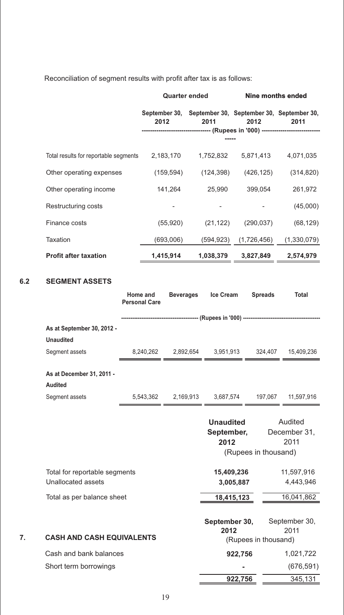Reconciliation of segment results with profit after tax is as follows:

|     |                                                                               | <b>Quarter ended</b> |  | Nine months ended                 |           |                      |                                                                                                                                                                                                                                                                                                                       |
|-----|-------------------------------------------------------------------------------|----------------------|--|-----------------------------------|-----------|----------------------|-----------------------------------------------------------------------------------------------------------------------------------------------------------------------------------------------------------------------------------------------------------------------------------------------------------------------|
|     |                                                                               | 2012                 |  | 2011                              |           | 2012                 | September 30, September 30, September 30, September 30,<br>2011                                                                                                                                                                                                                                                       |
|     |                                                                               |                      |  |                                   |           |                      | ---------------------------- (Rupees in '000) -------------------------                                                                                                                                                                                                                                               |
|     | Total results for reportable segments 2,183,170 1,752,832 5,871,413 4,071,035 |                      |  |                                   |           |                      |                                                                                                                                                                                                                                                                                                                       |
|     |                                                                               |                      |  |                                   |           |                      |                                                                                                                                                                                                                                                                                                                       |
|     | Other operating expenses                                                      |                      |  |                                   |           |                      | $(159,594)$ $(124,398)$ $(426,125)$ $(314,820)$                                                                                                                                                                                                                                                                       |
|     | Other operating income                                                        |                      |  |                                   |           |                      | 141,264 25,990 399,054 261,972                                                                                                                                                                                                                                                                                        |
|     | Restructuring costs                                                           |                      |  |                                   |           |                      | (45,000)                                                                                                                                                                                                                                                                                                              |
|     | Finance costs                                                                 |                      |  | $(55,920)$ $(21,122)$ $(290,037)$ |           |                      | (68,129)                                                                                                                                                                                                                                                                                                              |
|     | Taxation                                                                      |                      |  |                                   |           |                      | $(693,006)$ $(594,923)$ $(1,726,456)$ $(1,330,079)$                                                                                                                                                                                                                                                                   |
|     | <b>Profit after taxation</b>                                                  |                      |  |                                   |           |                      | 1,415,914  1,038,379  3,827,849  2,574,979                                                                                                                                                                                                                                                                            |
|     |                                                                               |                      |  |                                   |           |                      |                                                                                                                                                                                                                                                                                                                       |
| 6.2 | <b>SEGMENT ASSETS</b>                                                         |                      |  |                                   |           |                      |                                                                                                                                                                                                                                                                                                                       |
|     |                                                                               | <b>Personal Care</b> |  | Home and Beverages Ice Cream      |           | <b>Spreads</b>       | Total                                                                                                                                                                                                                                                                                                                 |
|     |                                                                               |                      |  |                                   |           |                      |                                                                                                                                                                                                                                                                                                                       |
|     | As at September 30, 2012 -                                                    |                      |  |                                   |           |                      |                                                                                                                                                                                                                                                                                                                       |
|     | <b>Unaudited</b><br>Segment assets                                            |                      |  |                                   |           |                      |                                                                                                                                                                                                                                                                                                                       |
|     |                                                                               |                      |  |                                   |           |                      | $\frac{8,240,262}{\frac{13,240,262}{\frac{13,236}{\frac{13,236}{\frac{13,264}{\frac{13,264}{\frac{13,264}{\frac{13,264}{\frac{13,264}{\frac{13,264}{\frac{13,264}{\frac{13,264}{\frac{13,264}{\frac{13,264}{\frac{13,264}{\frac{13,264}{\frac{13,264}{\frac{13,264}{\frac{13,264}{\frac{13,264}{\frac{13,264}{\frac{$ |
|     | As at December 31, 2011 -                                                     |                      |  |                                   |           |                      |                                                                                                                                                                                                                                                                                                                       |
|     | <b>Audited</b><br>Segment assets                                              |                      |  |                                   |           |                      |                                                                                                                                                                                                                                                                                                                       |
|     |                                                                               |                      |  |                                   |           |                      | $\frac{5,543,362}{2,169,913}$ $\frac{3,687,574}{3,687,574}$ 197,067 11,597,916                                                                                                                                                                                                                                        |
|     |                                                                               |                      |  | <b>Unaudited</b>                  |           |                      | Audited                                                                                                                                                                                                                                                                                                               |
|     |                                                                               |                      |  | 2012                              |           |                      | September, December 31,<br>2011                                                                                                                                                                                                                                                                                       |
|     |                                                                               |                      |  |                                   |           | (Rupees in thousand) |                                                                                                                                                                                                                                                                                                                       |
|     | Total for reportable segments                                                 |                      |  | 15,409,236                        |           |                      | 11,597,916                                                                                                                                                                                                                                                                                                            |
|     | Unallocated assets                                                            |                      |  |                                   | 3,005,887 |                      | 4,443,946                                                                                                                                                                                                                                                                                                             |
|     | Total as per balance sheet                                                    |                      |  | 18,415,123                        |           |                      | 16,041,862                                                                                                                                                                                                                                                                                                            |
|     |                                                                               |                      |  |                                   |           |                      |                                                                                                                                                                                                                                                                                                                       |
|     |                                                                               |                      |  | September 30,<br>2012             |           |                      | September 30,<br>2011                                                                                                                                                                                                                                                                                                 |
| 7.  | <b>CASH AND CASH EQUIVALENTS</b>                                              |                      |  |                                   |           | (Rupees in thousand) |                                                                                                                                                                                                                                                                                                                       |
|     | Cash and bank balances                                                        |                      |  |                                   | 922,756   |                      | 1,021,722                                                                                                                                                                                                                                                                                                             |
|     | Short term borrowings                                                         |                      |  |                                   |           |                      | (676, 591)                                                                                                                                                                                                                                                                                                            |
|     |                                                                               |                      |  |                                   | 922,756   |                      | 345,131                                                                                                                                                                                                                                                                                                               |

**6.2 SEGMENT ASSETS**